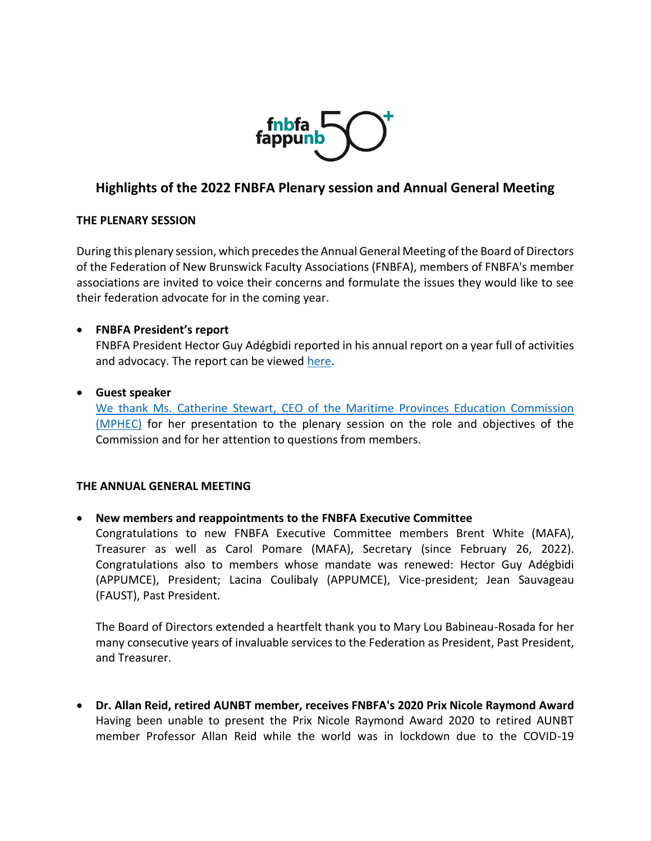

# **Highlights of the 2022 FNBFA Plenary session and Annual General Meeting**

## **THE PLENARY SESSION**

During this plenary session, which precedes the Annual General Meeting of the Board of Directors of the Federation of New Brunswick Faculty Associations (FNBFA), members of FNBFA's member associations are invited to voice their concerns and formulate the issues they would like to see their federation advocate for in the coming year.

## • **FNBFA President's report**

FNBFA President Hector Guy Adégbidi reported in his annual report on a year full of activities and advocacy. The report can be viewed [here.](https://www.fnbfa.ca/wp-content/uploads/2022/05/Item-3_FNBFA-President-report-to-the-2022-Plenary-and-AGM_final.pdf)

### • **Guest speaker**

We thank Ms. Catherine Stewart, CEO [of the Maritime Provinces Education Commission](https://www.fnbfa.ca/wp-content/uploads/2022/05/Lettre-bilingue-DG-CESPM_MPHEC-CEO-May-18-mai-2022.pdf)  [\(MPHEC\)](https://www.fnbfa.ca/wp-content/uploads/2022/05/Lettre-bilingue-DG-CESPM_MPHEC-CEO-May-18-mai-2022.pdf) for her presentation to the plenary session on the role and objectives of the Commission and for her attention to questions from members.

#### **THE ANNUAL GENERAL MEETING**

## • **New members and reappointments to the FNBFA Executive Committee**

Congratulations to new FNBFA Executive Committee members Brent White (MAFA), Treasurer as well as Carol Pomare (MAFA), Secretary (since February 26, 2022). Congratulations also to members whose mandate was renewed: Hector Guy Adégbidi (APPUMCE), President; Lacina Coulibaly (APPUMCE), Vice-president; Jean Sauvageau (FAUST), Past President.

The Board of Directors extended a heartfelt thank you to Mary Lou Babineau-Rosada for her many consecutive years of invaluable services to the Federation as President, Past President, and Treasurer.

• **Dr. Allan Reid, retired AUNBT member, receives FNBFA's 2020 Prix Nicole Raymond Award** Having been unable to present the Prix Nicole Raymond Award 2020 to retired AUNBT member Professor Allan Reid while the world was in lockdown due to the COVID-19